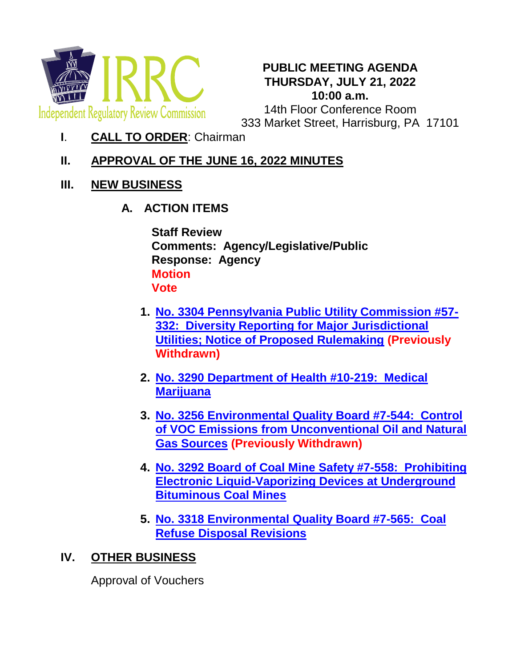

#### **PUBLIC MEETING AGENDA THURSDAY, JULY 21, 2022 10:00 a.m.**

14th Floor Conference Room 333 Market Street, Harrisburg, PA 17101

**I**. **CALL TO ORDER**: Chairman

# **II. APPROVAL OF THE JUNE 16, 2022 MINUTES**

- **III. NEW BUSINESS**
	- **A. ACTION ITEMS**

**Staff Review Comments: Agency/Legislative/Public Response: Agency Motion Vote**

- **1. [No. 3304 Pennsylvania Public Utility Commission #57-](http://www.irrc.state.pa.us/regulations/RegSrchRslts.cfm?ID=3315) [332: Diversity Reporting for Major Jurisdictional](http://www.irrc.state.pa.us/regulations/RegSrchRslts.cfm?ID=3315)  [Utilities; Notice of Proposed Rulemaking](http://www.irrc.state.pa.us/regulations/RegSrchRslts.cfm?ID=3315) (Previously Withdrawn)**
- **2. [No. 3290 Department of Health #10-219: Medical](http://www.irrc.state.pa.us/regulations/RegSrchRslts.cfm?ID=3301)  [Marijuana](http://www.irrc.state.pa.us/regulations/RegSrchRslts.cfm?ID=3301)**
- **3. [No. 3256 Environmental Quality Board #7-544: Control](http://www.irrc.state.pa.us/regulations/RegSrchRslts.cfm?ID=3267)  [of VOC Emissions from Unconventional Oil and Natural](http://www.irrc.state.pa.us/regulations/RegSrchRslts.cfm?ID=3267)  [Gas Sources](http://www.irrc.state.pa.us/regulations/RegSrchRslts.cfm?ID=3267) (Previously Withdrawn)**
- **4. [No. 3292 Board of Coal Mine Safety #7-558: Prohibiting](http://www.irrc.state.pa.us/regulations/RegSrchRslts.cfm?ID=3303)  [Electronic Liquid-Vaporizing Devices at Underground](http://www.irrc.state.pa.us/regulations/RegSrchRslts.cfm?ID=3303)  [Bituminous Coal Mines](http://www.irrc.state.pa.us/regulations/RegSrchRslts.cfm?ID=3303)**
- **5. [No. 3318 Environmental Quality Board #7-565: Coal](http://www.irrc.state.pa.us/regulations/RegSrchRslts.cfm?ID=3329)  [Refuse Disposal Revisions](http://www.irrc.state.pa.us/regulations/RegSrchRslts.cfm?ID=3329)**

## **IV. OTHER BUSINESS**

Approval of Vouchers